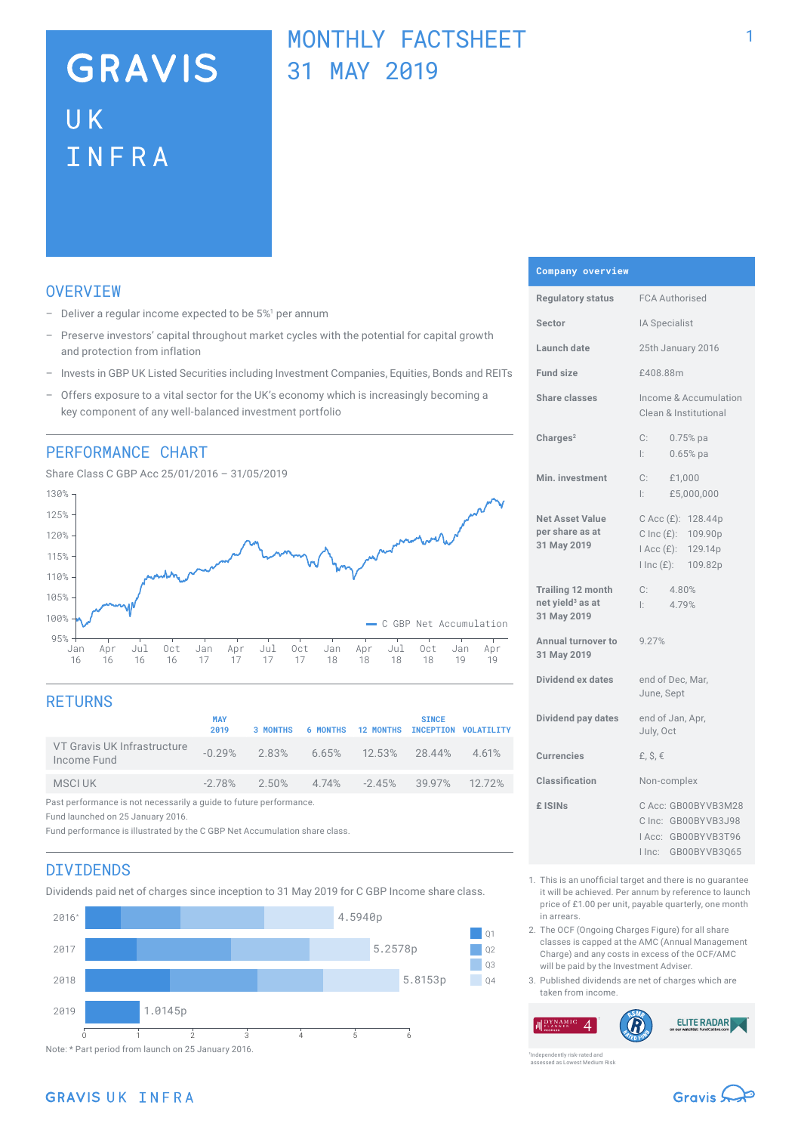# **GRAVIS UK** INFRA

## MONTHLY FACTSHEET 31 MAY 2019

## **OVERVTEW**

- $-$  Deliver a regular income expected to be  $5\%$ <sup>1</sup> per annum
- Preserve investors' capital throughout market cycles with the potential for capital growth and protection from inflation
- Invests in GBP UK Listed Securities including Investment Companies, Equities, Bonds and REITs
- Offers exposure to a vital sector for the UK's economy which is increasingly becoming a key component of any well-balanced investment portfolio

### PERFORMANCE CHART



## **RETURNS**

|                                                                    | <b>MAY</b><br>2019 | 3 MONTHS |  | 6 MONTHS 12 MONTHS INCEPTION VOLATILITY       | <b>SINCE</b> |  |
|--------------------------------------------------------------------|--------------------|----------|--|-----------------------------------------------|--------------|--|
| VT Gravis UK Infrastructure<br>Income Fund                         |                    |          |  | $-0.29\%$ 2.83% 6.65% 12.53% 28.44% 4.61%     |              |  |
| MSCI UK                                                            |                    |          |  | $-2.78\%$ 2.50% 4.74% $-2.45\%$ 39.97% 12.72% |              |  |
| Past performance is not necessarily a guide to future performance. |                    |          |  |                                               |              |  |

Fund launched on 25 January 2016.

Fund performance is illustrated by the C GBP Net Accumulation share class.

### DIVIDENDS

Dividends paid net of charges since inception to 31 May 2019 for C GBP Income share class.



#### **Company overview**

| <b>Regulatory status</b>                                                | <b>FCA Authorised</b>                                                                      |  |  |
|-------------------------------------------------------------------------|--------------------------------------------------------------------------------------------|--|--|
| Sector                                                                  | IA Specialist                                                                              |  |  |
| Launch date                                                             | 25th January 2016                                                                          |  |  |
| <b>Fund size</b>                                                        | £408.88m                                                                                   |  |  |
| Share classes                                                           | Income & Accumulation<br>Clean & Institutional                                             |  |  |
| Charles <sup>2</sup>                                                    | $C$ :<br>$0.75%$ pa<br>$0.65%$ pa<br>Ŀ.                                                    |  |  |
| Min. investment                                                         | C:<br>£1,000<br>£5,000,000<br>be a series                                                  |  |  |
| <b>Net Asset Value</b><br>per share as at<br>31 May 2019                | C Acc (£): 128.44p<br>C Inc $(E)$ : 109.90p<br>I Acc (£): 129.14p<br>I Inc (£): 109.82p    |  |  |
| <b>Trailing 12 month</b><br>net yield <sup>3</sup> as at<br>31 May 2019 | C:<br>4.80%<br>4.79%<br>Ŀ.                                                                 |  |  |
| Annual turnover to<br>31 May 2019                                       | 9.27%                                                                                      |  |  |
| Dividend ex dates                                                       | end of Dec, Mar,<br>June, Sept                                                             |  |  |
| Dividend pay dates                                                      | end of Jan, Apr,<br>July, Oct                                                              |  |  |
| <b>Currencies</b>                                                       | £, $\hat{S}$ , $\in$                                                                       |  |  |
| <b>Classification</b>                                                   | Non-complex                                                                                |  |  |
| £ ISIN <sub>S</sub>                                                     | C Acc: GB00BYVB3M28<br>C Inc: GB00BYVB3J98<br>IAcc: GB00BYVB3T96<br>GB00BYVB3Q65<br>I Inc: |  |  |

- 1. This is an unofficial target and there is no guarantee it will be achieved. Per annum by reference to launch price of £1.00 per unit, payable quarterly, one month in arrears.
- 2. The OCF (Ongoing Charges Figure) for all share classes is capped at the AMC (Annual Management Charge) and any costs in excess of the OCF/AMC will be paid by the Investment Adviser.
- 3. Published dividends are net of charges which are taken from income.

**ELITE RADAR**  $\boldsymbol{\varDelta}$ 

ently risk-rated and assessed as Lowest Medium Risk

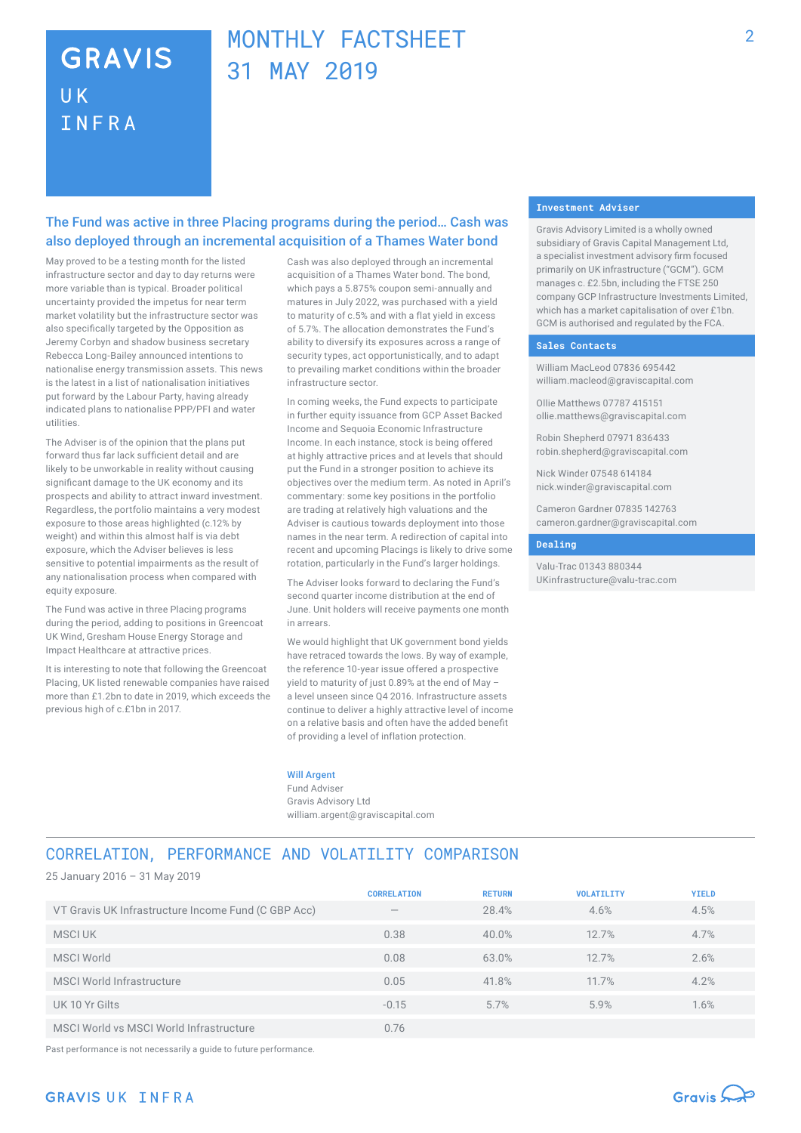## **GRAVIS UK** INFRA

## MONTHLY FACTSHEFT 31 MAY 2019

## The Fund was active in three Placing programs during the period… Cash was also deployed through an incremental acquisition of a Thames Water bond

May proved to be a testing month for the listed infrastructure sector and day to day returns were more variable than is typical. Broader political uncertainty provided the impetus for near term market volatility but the infrastructure sector was also specifically targeted by the Opposition as Jeremy Corbyn and shadow business secretary Rebecca Long-Bailey announced intentions to nationalise energy transmission assets. This news is the latest in a list of nationalisation initiatives put forward by the Labour Party, having already indicated plans to nationalise PPP/PFI and water utilities.

The Adviser is of the opinion that the plans put forward thus far lack sufficient detail and are likely to be unworkable in reality without causing significant damage to the UK economy and its prospects and ability to attract inward investment. Regardless, the portfolio maintains a very modest exposure to those areas highlighted (c.12% by weight) and within this almost half is via debt exposure, which the Adviser believes is less sensitive to potential impairments as the result of any nationalisation process when compared with equity exposure.

The Fund was active in three Placing programs during the period, adding to positions in Greencoat UK Wind, Gresham House Energy Storage and Impact Healthcare at attractive prices.

It is interesting to note that following the Greencoat Placing, UK listed renewable companies have raised more than £1.2bn to date in 2019, which exceeds the previous high of c.£1bn in 2017.

Cash was also deployed through an incremental acquisition of a Thames Water bond. The bond, which pays a 5.875% coupon semi-annually and matures in July 2022, was purchased with a yield to maturity of c.5% and with a flat yield in excess of 5.7%. The allocation demonstrates the Fund's ability to diversify its exposures across a range of security types, act opportunistically, and to adapt to prevailing market conditions within the broader infrastructure sector.

In coming weeks, the Fund expects to participate in further equity issuance from GCP Asset Backed Income and Sequoia Economic Infrastructure Income. In each instance, stock is being offered at highly attractive prices and at levels that should put the Fund in a stronger position to achieve its objectives over the medium term. As noted in April's commentary: some key positions in the portfolio are trading at relatively high valuations and the Adviser is cautious towards deployment into those names in the near term. A redirection of capital into recent and upcoming Placings is likely to drive some rotation, particularly in the Fund's larger holdings.

The Adviser looks forward to declaring the Fund's second quarter income distribution at the end of June. Unit holders will receive payments one month in arrears.

We would highlight that UK government bond yields have retraced towards the lows. By way of example, the reference 10-year issue offered a prospective yield to maturity of just 0.89% at the end of May – a level unseen since Q4 2016. Infrastructure assets continue to deliver a highly attractive level of income on a relative basis and often have the added benefit of providing a level of inflation protection.

#### Will Argent

Fund Adviser Gravis Advisory Ltd william.argent@graviscapital.com

#### **Investment Adviser**

Gravis Advisory Limited is a wholly owned subsidiary of Gravis Capital Management Ltd, a specialist investment advisory firm focused primarily on UK infrastructure ("GCM"). GCM manages c. £2.5bn, including the FTSE 250 company GCP Infrastructure Investments Limited, which has a market capitalisation of over £1bn. GCM is authorised and regulated by the FCA.

#### **Sales Contacts**

William MacLeod 07836 695442 william.macleod@graviscapital.com

Ollie Matthews 07787 415151 ollie.matthews@graviscapital.com

Robin Shepherd 07971 836433 robin.shepherd@graviscapital.com

Nick Winder 07548 614184 nick.winder@graviscapital.com

Cameron Gardner 07835 142763 cameron.gardner@graviscapital.com

#### **Dealing**

Valu-Trac 01343 880344 UKinfrastructure@valu-trac.com

## CORRELATION, PERFORMANCE AND VOLATILITY COMPARISON

25 January 2016 – 31 May 2019

|                                                     | <b>CORRELATION</b>       | <b>RETURN</b> | <b>VOLATILITY</b> | <b>YIELD</b> |
|-----------------------------------------------------|--------------------------|---------------|-------------------|--------------|
| VT Gravis UK Infrastructure Income Fund (C GBP Acc) | $\overline{\phantom{a}}$ | 28.4%         | 4.6%              | 4.5%         |
| MSCI UK                                             | 0.38                     | 40.0%         | 12.7%             | 4.7%         |
| <b>MSCI World</b>                                   | 0.08                     | 63.0%         | 12.7%             | 2.6%         |
| MSCI World Infrastructure                           | 0.05                     | 41.8%         | 11.7%             | 4.2%         |
| UK 10 Yr Gilts                                      | $-0.15$                  | 5.7%          | 5.9%              | 1.6%         |
| MSCI World vs MSCI World Infrastructure             | 0.76                     |               |                   |              |

Past performance is not necessarily a guide to future performance.